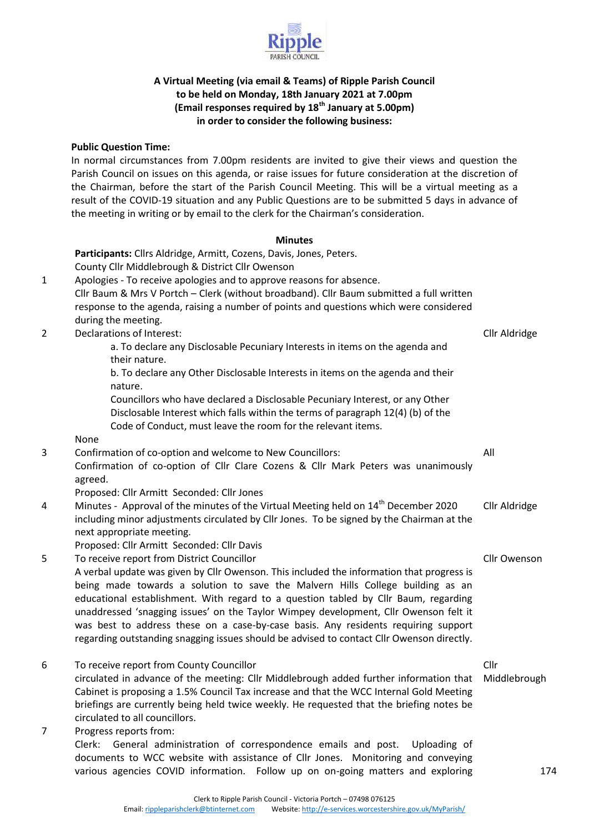

#### **A Virtual Meeting (via email & Teams) of Ripple Parish Council to be held on Monday, 18th January 2021 at 7.00pm (Email responses required by 18th January at 5.00pm) in order to consider the following business:**

#### **Public Question Time:**

In normal circumstances from 7.00pm residents are invited to give their views and question the Parish Council on issues on this agenda, or raise issues for future consideration at the discretion of the Chairman, before the start of the Parish Council Meeting. This will be a virtual meeting as a result of the COVID-19 situation and any Public Questions are to be submitted 5 days in advance of the meeting in writing or by email to the clerk for the Chairman's consideration.

#### **Minutes**

**Participants:** Cllrs Aldridge, Armitt, Cozens, Davis, Jones, Peters. County Cllr Middlebrough & District Cllr Owenson 1 Apologies - To receive apologies and to approve reasons for absence. Cllr Baum & Mrs V Portch – Clerk (without broadband). Cllr Baum submitted a full written response to the agenda, raising a number of points and questions which were considered during the meeting. 2 Declarations of Interest: a. To declare any Disclosable Pecuniary Interests in items on the agenda and their nature. b. To declare any Other Disclosable Interests in items on the agenda and their nature. Councillors who have declared a Disclosable Pecuniary Interest, or any Other Disclosable Interest which falls within the terms of paragraph 12(4) (b) of the Code of Conduct, must leave the room for the relevant items. None Cllr Aldridge 3 Confirmation of co-option and welcome to New Councillors: Confirmation of co-option of Cllr Clare Cozens & Cllr Mark Peters was unanimously agreed. Proposed: Cllr Armitt Seconded: Cllr Jones All 4 Minutes - Approval of the minutes of the Virtual Meeting held on  $14<sup>th</sup>$  December 2020 including minor adjustments circulated by Cllr Jones. To be signed by the Chairman at the next appropriate meeting. Proposed: Cllr Armitt Seconded: Cllr Davis Cllr Aldridge 5 To receive report from District Councillor A verbal update was given by Cllr Owenson. This included the information that progress is being made towards a solution to save the Malvern Hills College building as an educational establishment. With regard to a question tabled by Cllr Baum, regarding unaddressed 'snagging issues' on the Taylor Wimpey development, Cllr Owenson felt it was best to address these on a case-by-case basis. Any residents requiring support regarding outstanding snagging issues should be advised to contact Cllr Owenson directly. Cllr Owenson 6 To receive report from County Councillor circulated in advance of the meeting: Cllr Middlebrough added further information that Cabinet is proposing a 1.5% Council Tax increase and that the WCC Internal Gold Meeting briefings are currently being held twice weekly. He requested that the briefing notes be circulated to all councillors. Cllr Middlebrough

7 Progress reports from:

Clerk: General administration of correspondence emails and post. Uploading of documents to WCC website with assistance of Cllr Jones. Monitoring and conveying various agencies COVID information. Follow up on on-going matters and exploring 174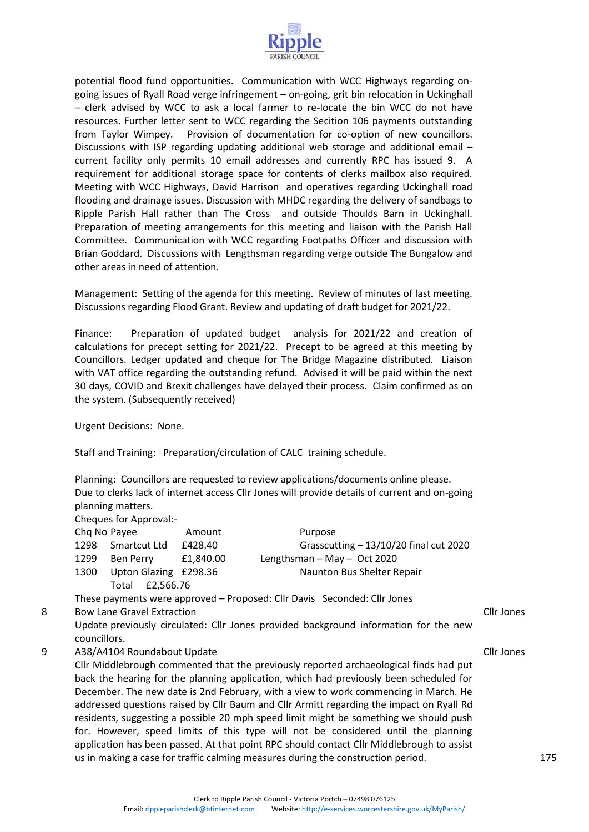

potential flood fund opportunities. Communication with WCC Highways regarding ongoing issues of Ryall Road verge infringement – on-going, grit bin relocation in Uckinghall – clerk advised by WCC to ask a local farmer to re-locate the bin WCC do not have resources. Further letter sent to WCC regarding the Secition 106 payments outstanding from Taylor Wimpey. Provision of documentation for co-option of new councillors. Discussions with ISP regarding updating additional web storage and additional email – current facility only permits 10 email addresses and currently RPC has issued 9. A requirement for additional storage space for contents of clerks mailbox also required. Meeting with WCC Highways, David Harrison and operatives regarding Uckinghall road flooding and drainage issues. Discussion with MHDC regarding the delivery of sandbags to Ripple Parish Hall rather than The Cross and outside Thoulds Barn in Uckinghall. Preparation of meeting arrangements for this meeting and liaison with the Parish Hall Committee. Communication with WCC regarding Footpaths Officer and discussion with Brian Goddard. Discussions with Lengthsman regarding verge outside The Bungalow and other areas in need of attention.

Management: Setting of the agenda for this meeting. Review of minutes of last meeting. Discussions regarding Flood Grant. Review and updating of draft budget for 2021/22.

Finance: Preparation of updated budget analysis for 2021/22 and creation of calculations for precept setting for 2021/22. Precept to be agreed at this meeting by Councillors. Ledger updated and cheque for The Bridge Magazine distributed. Liaison with VAT office regarding the outstanding refund. Advised it will be paid within the next 30 days, COVID and Brexit challenges have delayed their process. Claim confirmed as on the system. (Subsequently received)

Urgent Decisions: None.

Staff and Training: Preparation/circulation of CALC training schedule.

Planning: Councillors are requested to review applications/documents online please. Due to clerks lack of internet access Cllr Jones will provide details of current and on-going planning matters. Cheques for Approval:

| Cricques for <i>ripproval.</i> |                       |           |                                          |
|--------------------------------|-----------------------|-----------|------------------------------------------|
| Chq No Payee                   |                       | Amount    | Purpose                                  |
| 1298                           | Smartcut Ltd          | £428.40   | Grasscutting $- 13/10/20$ final cut 2020 |
| 1299                           | Ben Perry             | £1.840.00 | Lengthsman $-$ May $-$ Oct 2020          |
| 1300                           | Upton Glazing £298.36 |           | Naunton Bus Shelter Repair               |
|                                | Total £2.566.76       |           |                                          |

These payments were approved – Proposed: Cllr Davis Seconded: Cllr Jones

8 Bow Lane Gravel Extraction

Update previously circulated: Cllr Jones provided background information for the new councillors.

9 A38/A4104 Roundabout Update

Cllr Middlebrough commented that the previously reported archaeological finds had put back the hearing for the planning application, which had previously been scheduled for December. The new date is 2nd February, with a view to work commencing in March. He addressed questions raised by Cllr Baum and Cllr Armitt regarding the impact on Ryall Rd residents, suggesting a possible 20 mph speed limit might be something we should push for. However, speed limits of this type will not be considered until the planning application has been passed. At that point RPC should contact Cllr Middlebrough to assist us in making a case for traffic calming measures during the construction period.

Cllr Jones

Cllr Jones

175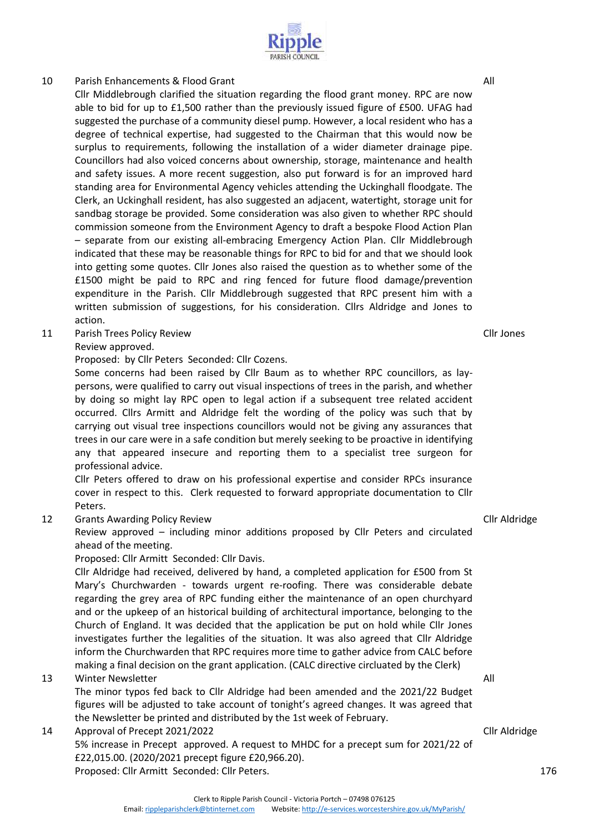# standing area for Environmental Agency vehicles attending the Uckinghall floodgate. The

Clerk, an Uckinghall resident, has also suggested an adjacent, watertight, storage unit for sandbag storage be provided. Some consideration was also given to whether RPC should commission someone from the Environment Agency to draft a bespoke Flood Action Plan – separate from our existing all-embracing Emergency Action Plan. Cllr Middlebrough indicated that these may be reasonable things for RPC to bid for and that we should look into getting some quotes. Cllr Jones also raised the question as to whether some of the £1500 might be paid to RPC and ring fenced for future flood damage/prevention expenditure in the Parish. Cllr Middlebrough suggested that RPC present him with a written submission of suggestions, for his consideration. Cllrs Aldridge and Jones to action.

11 Parish Trees Policy Review

## Review approved.

Proposed: by Cllr Peters Seconded: Cllr Cozens.

Some concerns had been raised by Cllr Baum as to whether RPC councillors, as laypersons, were qualified to carry out visual inspections of trees in the parish, and whether by doing so might lay RPC open to legal action if a subsequent tree related accident occurred. Cllrs Armitt and Aldridge felt the wording of the policy was such that by carrying out visual tree inspections councillors would not be giving any assurances that trees in our care were in a safe condition but merely seeking to be proactive in identifying any that appeared insecure and reporting them to a specialist tree surgeon for professional advice.

Cllr Peters offered to draw on his professional expertise and consider RPCs insurance cover in respect to this. Clerk requested to forward appropriate documentation to Cllr Peters.

12 Grants Awarding Policy Review

Review approved – including minor additions proposed by Cllr Peters and circulated ahead of the meeting.

Proposed: Cllr Armitt Seconded: Cllr Davis.

Cllr Aldridge had received, delivered by hand, a completed application for £500 from St Mary's Churchwarden - towards urgent re-roofing. There was considerable debate regarding the grey area of RPC funding either the maintenance of an open churchyard and or the upkeep of an historical building of architectural importance, belonging to the Church of England. It was decided that the application be put on hold while Cllr Jones investigates further the legalities of the situation. It was also agreed that Cllr Aldridge inform the Churchwarden that RPC requires more time to gather advice from CALC before making a final decision on the grant application. (CALC directive circluated by the Clerk)

13 Winter Newsletter

The minor typos fed back to Cllr Aldridge had been amended and the 2021/22 Budget figures will be adjusted to take account of tonight's agreed changes. It was agreed that the Newsletter be printed and distributed by the 1st week of February.

14 Approval of Precept 2021/2022

5% increase in Precept approved. A request to MHDC for a precept sum for 2021/22 of £22,015.00. (2020/2021 precept figure £20,966.20). Proposed: Cllr Armitt Seconded: Cllr Peters.

All

## 10 Parish Enhancements & Flood Grant

Cllr Jones

All





Cllr Middlebrough clarified the situation regarding the flood grant money. RPC are now able to bid for up to £1,500 rather than the previously issued figure of £500. UFAG had suggested the purchase of a community diesel pump. However, a local resident who has a degree of technical expertise, had suggested to the Chairman that this would now be surplus to requirements, following the installation of a wider diameter drainage pipe. Councillors had also voiced concerns about ownership, storage, maintenance and health and safety issues. A more recent suggestion, also put forward is for an improved hard